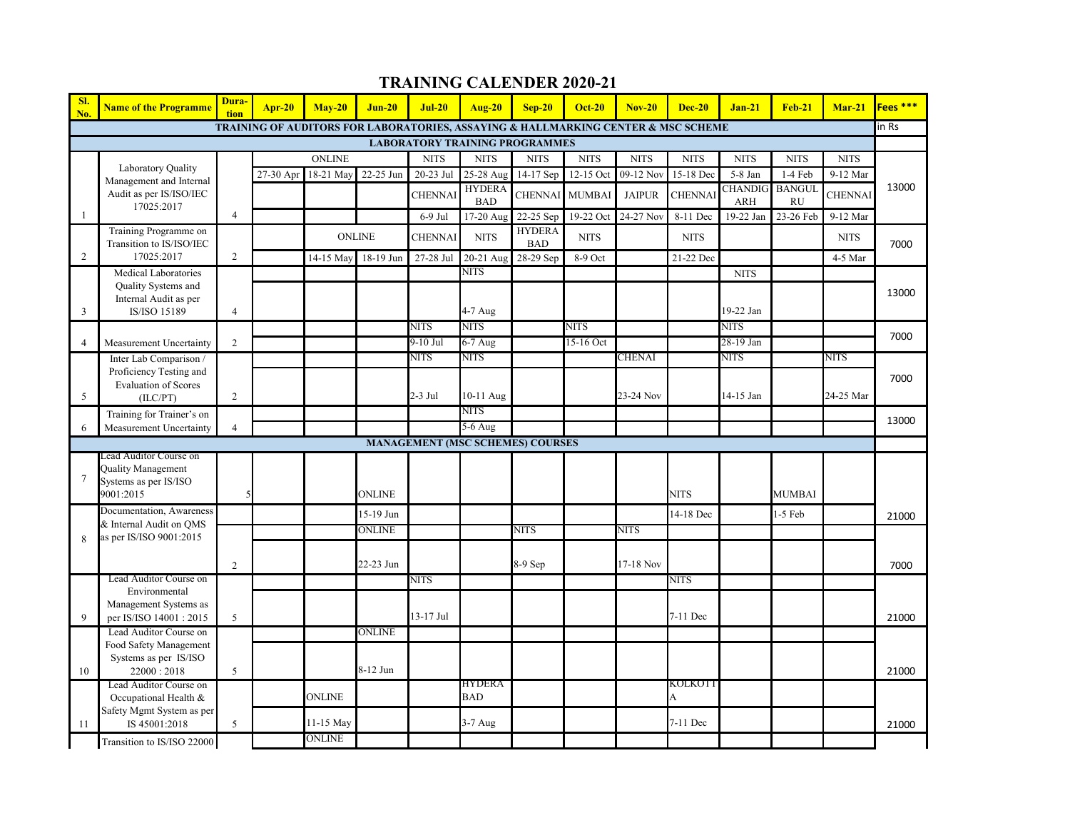| SI.<br>No.                            | <b>Name of the Programme</b>                                 | Dura-<br>tion  | $Ar-20$   | $Mav-20$      | $Jun-20$      | $Jul-20$                                | Aug-20                                                                            | $Sep-20$                    | <b>Oct-20</b> | $Nov-20$      | $Dec-20$      | $Jan-21$                     | <b>Feb-21</b>              | $Mar-21$       | Fees *** |  |
|---------------------------------------|--------------------------------------------------------------|----------------|-----------|---------------|---------------|-----------------------------------------|-----------------------------------------------------------------------------------|-----------------------------|---------------|---------------|---------------|------------------------------|----------------------------|----------------|----------|--|
|                                       |                                                              |                |           |               |               |                                         | TRAINING OF AUDITORS FOR LABORATORIES, ASSAYING & HALLMARKING CENTER & MSC SCHEME |                             |               |               |               |                              |                            |                |          |  |
| <b>LABORATORY TRAINING PROGRAMMES</b> |                                                              |                |           |               |               |                                         |                                                                                   |                             |               |               |               |                              |                            |                |          |  |
|                                       |                                                              |                |           | <b>ONLINE</b> |               | <b>NITS</b>                             | <b>NITS</b>                                                                       | <b>NITS</b>                 | <b>NITS</b>   | <b>NITS</b>   | <b>NITS</b>   | <b>NITS</b>                  | <b>NITS</b>                | <b>NITS</b>    |          |  |
|                                       | Laboratory Quality<br>Management and Internal                |                | 27-30 Apr | 18-21 May     | 22-25 Jun     | 20-23 Jul                               | 25-28 Aug                                                                         | 14-17 Sep                   | 12-15 Oct     | 09-12 Nov     | 15-18 Dec     | 5-8 Jan                      | 1-4 Feb                    | 9-12 Mar       |          |  |
|                                       | Audit as per IS/ISO/IEC<br>17025:2017                        |                |           |               |               | <b>CHENNA</b>                           | <b>HYDERA</b><br><b>BAD</b>                                                       | <b>CHENNAI</b>              | <b>MUMBAI</b> | <b>JAIPUR</b> | <b>CHENNA</b> | <b>CHANDIG</b><br><b>ARH</b> | <b>BANGUI</b><br><b>RU</b> | <b>CHENNAI</b> | 13000    |  |
| $\mathbf{1}$                          |                                                              | $\overline{4}$ |           |               |               | $6-9$ Jul                               | 17-20 Aug                                                                         | 22-25 Sep                   | 19-22 Oct     | 24-27 Nov     | 8-11 Dec      | 19-22 Jan                    | 23-26 Feb                  | 9-12 Mar       |          |  |
|                                       | Training Programme on<br>Transition to IS/ISO/IEC            |                |           |               | <b>ONLINE</b> | <b>CHENNAI</b>                          | <b>NITS</b>                                                                       | <b>HYDERA</b><br><b>BAD</b> | <b>NITS</b>   |               | <b>NITS</b>   |                              |                            | <b>NITS</b>    | 7000     |  |
| $\overline{c}$                        | 17025:2017                                                   | $\overline{2}$ |           | 14-15 May     | 18-19 Jun     | 27-28 Jul                               | 20-21 Aug                                                                         | 28-29 Sep                   | 8-9 Oct       |               | 21-22 Dec     |                              |                            | 4-5 Mar        |          |  |
|                                       | Medical Laboratories                                         |                |           |               |               |                                         | <b>NITS</b>                                                                       |                             |               |               |               | <b>NITS</b>                  |                            |                |          |  |
| 3                                     | Quality Systems and<br>Internal Audit as per<br>IS/ISO 15189 | $\overline{4}$ |           |               |               |                                         | 4-7 Aug                                                                           |                             |               |               |               | 19-22 Jan                    |                            |                | 13000    |  |
|                                       |                                                              |                |           |               |               | <b>NITS</b>                             | NITS                                                                              |                             | <b>NITS</b>   |               |               | <b>NITS</b>                  |                            |                |          |  |
| $\overline{4}$                        | Measurement Uncertainty                                      | $\overline{2}$ |           |               |               | $9-10$ Jul                              | $6-7$ Aug                                                                         |                             | 15-16 Oct     |               |               | 28-19 Jan                    |                            |                | 7000     |  |
|                                       | Inter Lab Comparison /                                       |                |           |               |               | <b>NITS</b>                             | NITS                                                                              |                             |               | <b>CHENAI</b> |               | <b>NITS</b>                  |                            | <b>NITS</b>    |          |  |
|                                       | Proficiency Testing and<br><b>Evaluation of Scores</b>       |                |           |               |               |                                         |                                                                                   |                             |               |               |               |                              |                            |                | 7000     |  |
| 5                                     | (ILC/PT)                                                     | $\overline{2}$ |           |               |               | 2-3 Jul                                 | 10-11 Aug                                                                         |                             |               | 23-24 Nov     |               | 14-15 Jan                    |                            | 24-25 Mar      |          |  |
|                                       | Training for Trainer's on                                    |                |           |               |               |                                         | NITS                                                                              |                             |               |               |               |                              |                            |                | 13000    |  |
| 6                                     | Measurement Uncertainty                                      | $\overline{4}$ |           |               |               |                                         | $\overline{5-6}$ Aug                                                              |                             |               |               |               |                              |                            |                |          |  |
|                                       | ead Auditor Course on                                        |                |           |               |               | <b>MANAGEMENT (MSC SCHEMES) COURSES</b> |                                                                                   |                             |               |               |               |                              |                            |                |          |  |
| $\overline{7}$                        | Quality Management<br>Systems as per IS/ISO                  |                |           |               |               |                                         |                                                                                   |                             |               |               |               |                              |                            |                |          |  |
|                                       | 9001:2015                                                    |                |           |               | <b>ONLINE</b> |                                         |                                                                                   |                             |               |               | <b>NITS</b>   |                              | <b>MUMBAI</b>              |                |          |  |
|                                       | Documentation, Awareness<br>& Internal Audit on QMS          |                |           |               | 15-19 Jun     |                                         |                                                                                   |                             |               |               | 14-18 Dec     |                              | $1-5$ Feb                  |                | 21000    |  |
| $\mathbf{8}$                          | as per IS/ISO 9001:2015                                      |                |           |               | ONLINE        |                                         |                                                                                   | NITS                        |               | <b>NITS</b>   |               |                              |                            |                |          |  |
|                                       |                                                              |                |           |               |               |                                         |                                                                                   |                             |               |               |               |                              |                            |                |          |  |
|                                       |                                                              | $\overline{2}$ |           |               | 22-23 Jun     |                                         |                                                                                   | 8-9 Sep                     |               | 17-18 Nov     |               |                              |                            |                | 7000     |  |
|                                       | Lead Auditor Course on                                       |                |           |               |               | <b>NITS</b>                             |                                                                                   |                             |               |               | NITS          |                              |                            |                |          |  |
|                                       | Environmental<br>Management Systems as                       |                |           |               |               |                                         |                                                                                   |                             |               |               |               |                              |                            |                |          |  |
| 9                                     | per IS/ISO 14001 : 2015                                      | 5              |           |               |               | 13-17 Jul                               |                                                                                   |                             |               |               | 7-11 Dec      |                              |                            |                | 21000    |  |
|                                       | Lead Auditor Course on                                       |                |           |               | ONLINE        |                                         |                                                                                   |                             |               |               |               |                              |                            |                |          |  |
|                                       | Food Safety Management                                       |                |           |               |               |                                         |                                                                                   |                             |               |               |               |                              |                            |                |          |  |
|                                       | Systems as per IS/ISO                                        |                |           |               |               |                                         |                                                                                   |                             |               |               |               |                              |                            |                |          |  |
| 10                                    | 22000:2018<br>Lead Auditor Course on                         | 5              |           |               | 8-12 Jun      |                                         | HYDERA                                                                            |                             |               |               | KOLKOTT       |                              |                            |                | 21000    |  |
|                                       | Occupational Health &                                        |                |           | ONLINE        |               |                                         | <b>BAD</b>                                                                        |                             |               |               | A             |                              |                            |                |          |  |
|                                       | Safety Mgmt System as per                                    |                |           |               |               |                                         |                                                                                   |                             |               |               |               |                              |                            |                |          |  |
| 11                                    | IS 45001:2018                                                | 5              |           | 11-15 May     |               |                                         | $3-7$ Aug                                                                         |                             |               |               | 7-11 Dec      |                              |                            |                | 21000    |  |
|                                       | Transition to IS/ISO 22000                                   |                |           | ONLINE        |               |                                         |                                                                                   |                             |               |               |               |                              |                            |                |          |  |

## **TRAINING CALENDER 2020-21**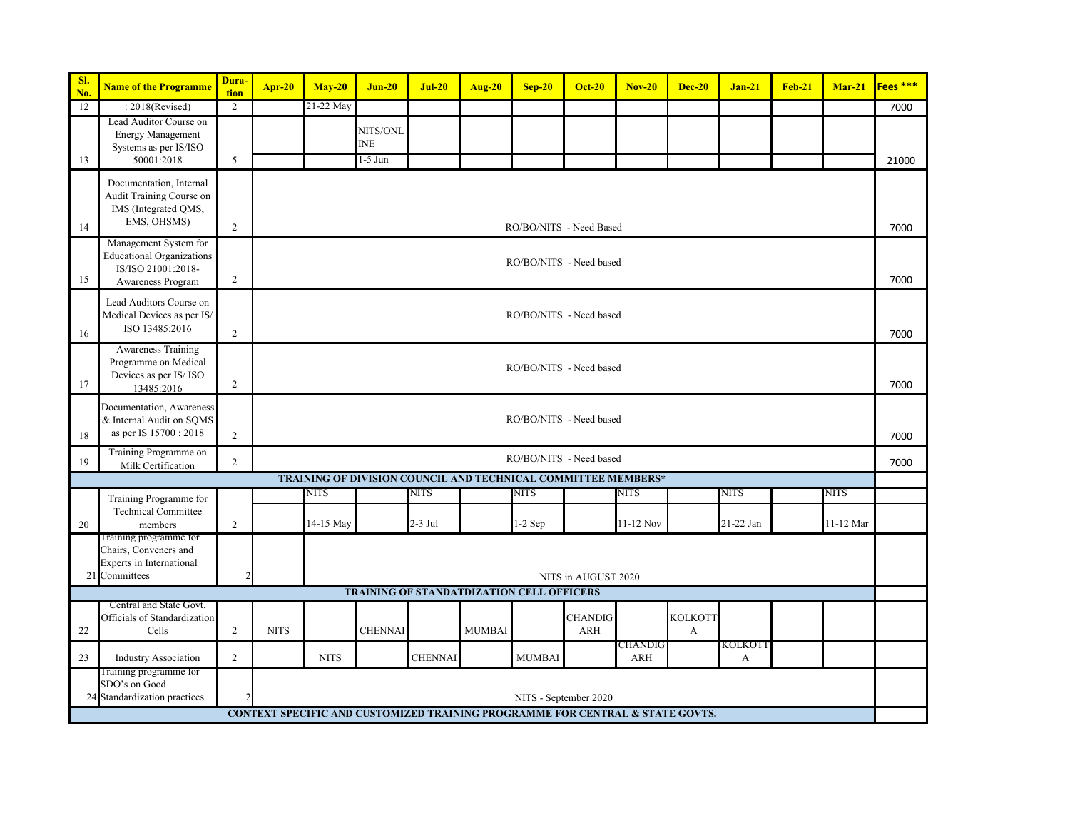| SI.<br>No. | <b>Name of the Programme</b>                                                                         | Dura-<br>tion  | Apr-20                                                                                                 | $May-20$                | $Jun-20$                                                      | $Jul-20$       | <b>Aug-20</b> | $Sep-20$                | <b>Oct-20</b>         | $Nov-20$    | <b>Dec-20</b>                  | $Jan-21$    | $Feb-21$ | $Mar-21$  | Fees <sup>***</sup> |
|------------|------------------------------------------------------------------------------------------------------|----------------|--------------------------------------------------------------------------------------------------------|-------------------------|---------------------------------------------------------------|----------------|---------------|-------------------------|-----------------------|-------------|--------------------------------|-------------|----------|-----------|---------------------|
| 12         | $: 2018$ (Revised)                                                                                   | 2              |                                                                                                        | 21-22 May               |                                                               |                |               |                         |                       |             |                                |             |          |           | 7000                |
|            | Lead Auditor Course on<br><b>Energy Management</b><br>Systems as per IS/ISO                          |                |                                                                                                        |                         | NITS/ONL<br><b>INE</b>                                        |                |               |                         |                       |             |                                |             |          |           |                     |
| 13         | 50001:2018                                                                                           | 5              |                                                                                                        |                         | 1-5 Jun                                                       |                |               |                         |                       |             |                                |             |          |           | 21000               |
| 14         | Documentation, Internal<br>Audit Training Course on<br>IMS (Integrated QMS,<br>EMS, OHSMS)           | $\overline{2}$ |                                                                                                        | RO/BO/NITS - Need Based |                                                               |                |               |                         |                       |             |                                |             |          |           |                     |
| 15         | Management System for<br><b>Educational Organizations</b><br>IS/ISO 21001:2018-<br>Awareness Program | $\overline{c}$ |                                                                                                        | RO/BO/NITS - Need based |                                                               |                |               |                         |                       |             |                                |             |          |           |                     |
| 16         | Lead Auditors Course on<br>Medical Devices as per IS/<br>ISO 13485:2016                              | 2              |                                                                                                        | RO/BO/NITS - Need based |                                                               |                |               |                         |                       |             |                                |             |          |           | 7000                |
| 17         | Awareness Training<br>Programme on Medical<br>Devices as per IS/ISO<br>13485:2016                    | $\overline{c}$ |                                                                                                        | RO/BO/NITS - Need based |                                                               |                |               |                         |                       |             |                                |             |          |           |                     |
| 18         | Documentation, Awareness<br>& Internal Audit on SQMS<br>as per IS 15700 : 2018                       | $\sqrt{2}$     |                                                                                                        | RO/BO/NITS - Need based |                                                               |                |               |                         |                       |             |                                |             |          |           |                     |
| 19         | Training Programme on<br>Milk Certification                                                          | $\overline{c}$ |                                                                                                        |                         |                                                               |                |               | RO/BO/NITS - Need based |                       |             |                                |             |          |           | 7000                |
|            |                                                                                                      |                |                                                                                                        |                         | TRAINING OF DIVISION COUNCIL AND TECHNICAL COMMITTEE MEMBERS* |                |               |                         |                       |             |                                |             |          |           |                     |
|            | Training Programme for                                                                               |                |                                                                                                        | NITS                    |                                                               | <b>NITS</b>    |               | NITS                    |                       | <b>NITS</b> |                                | <b>NITS</b> |          | NITS      |                     |
| 20         | <b>Technical Committee</b><br>members                                                                | $\overline{2}$ |                                                                                                        | 14-15 May               |                                                               | 2-3 Jul        |               | $1-2$ Sep               |                       | 11-12 Nov   |                                | 21-22 Jan   |          | 11-12 Mar |                     |
|            | Training programme for<br>Chairs, Conveners and<br>Experts in International<br>21 Committees         | 2              |                                                                                                        |                         |                                                               |                |               |                         | NITS in AUGUST 2020   |             |                                |             |          |           |                     |
|            |                                                                                                      |                |                                                                                                        |                         | <b>TRAINING OF STANDATDIZATION CELL OFFICERS</b>              |                |               |                         |                       |             |                                |             |          |           |                     |
| 22         | Central and State Govt.<br>Officials of Standardization<br>Cells                                     | $\overline{2}$ | <b>NITS</b>                                                                                            |                         | <b>CHENNAI</b>                                                |                | <b>MUMBAI</b> |                         | <b>CHANDIG</b><br>ARH |             | <b>KOLKOTT</b><br>$\mathbf{A}$ |             |          |           |                     |
|            |                                                                                                      |                |                                                                                                        |                         |                                                               |                |               |                         |                       | CHANDIG     |                                | KOLKOTT     |          |           |                     |
| 23         | <b>Industry Association</b>                                                                          | $\overline{c}$ |                                                                                                        | <b>NITS</b>             |                                                               | <b>CHENNAI</b> |               | <b>MUMBAI</b>           |                       | ARH         |                                | A           |          |           |                     |
|            | Training programme for<br>SDO's on Good<br>24 Standardization practices                              |                | NITS - September 2020<br>CONTEXT SPECIFIC AND CUSTOMIZED TRAINING PROGRAMME FOR CENTRAL & STATE GOVTS. |                         |                                                               |                |               |                         |                       |             |                                |             |          |           |                     |
|            |                                                                                                      |                |                                                                                                        |                         |                                                               |                |               |                         |                       |             |                                |             |          |           |                     |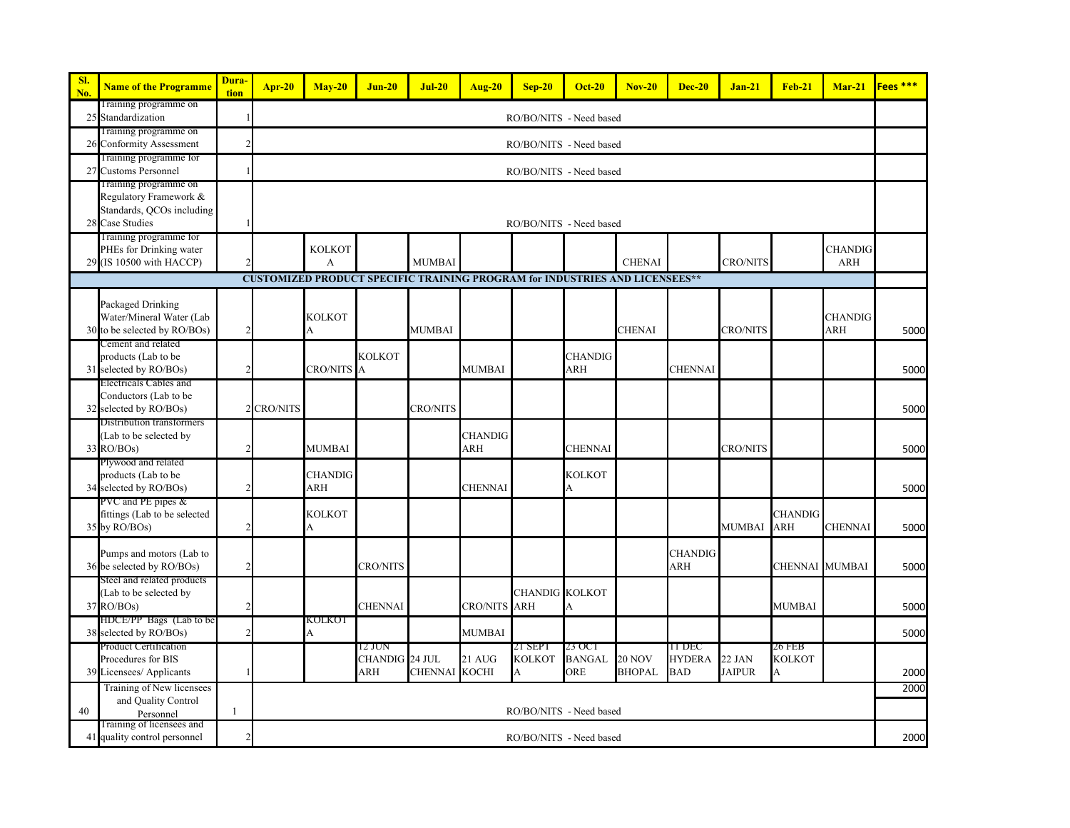| SI.<br>No. | <b>Name of the Programme</b>                                                                        | Dura-<br>tion  | $Apr-20$   | $Mav-20$                | $J$ un-20                       | $Jul-20$        | <b>Aug-20</b>         | $Sep-20$                      | <b>Oct-20</b>                  | $Nov-20$                       | <b>Dec-20</b>                         | $Jan-21$                | <b>Feb-21</b>                | $Mar-21$              | Fees <sup>***</sup> |
|------------|-----------------------------------------------------------------------------------------------------|----------------|------------|-------------------------|---------------------------------|-----------------|-----------------------|-------------------------------|--------------------------------|--------------------------------|---------------------------------------|-------------------------|------------------------------|-----------------------|---------------------|
|            | Training programme on<br>25 Standardization                                                         |                |            |                         |                                 |                 |                       | RO/BO/NITS - Need based       |                                |                                |                                       |                         |                              |                       |                     |
| 26         | Training programme on<br><b>Conformity Assessment</b>                                               | $\mathcal{D}$  |            |                         |                                 |                 |                       | RO/BO/NITS - Need based       |                                |                                |                                       |                         |                              |                       |                     |
|            | Training programme for<br>27 Customs Personnel                                                      |                |            | RO/BO/NITS - Need based |                                 |                 |                       |                               |                                |                                |                                       |                         |                              |                       |                     |
| 28         | Training programme on<br>Regulatory Framework &<br>Standards, QCOs including<br><b>Case Studies</b> |                |            | RO/BO/NITS - Need based |                                 |                 |                       |                               |                                |                                |                                       |                         |                              |                       |                     |
|            | Training programme for<br>PHEs for Drinking water<br>29 (IS 10500 with HACCP)                       |                |            | <b>KOLKOT</b><br>A      |                                 | <b>MUMBAI</b>   |                       |                               |                                | <b>CHENAI</b>                  |                                       | <b>CRO/NITS</b>         |                              | <b>CHANDIG</b><br>ARH |                     |
|            | <b>CUSTOMIZED PRODUCT SPECIFIC TRAINING PROGRAM for INDUSTRIES AND LICENSEES**</b>                  |                |            |                         |                                 |                 |                       |                               |                                |                                |                                       |                         |                              |                       |                     |
|            | Packaged Drinking<br>Water/Mineral Water (Lab<br>30 to be selected by RO/BOs)<br>Cement and related | $\overline{2}$ |            | <b>KOLKOT</b><br>A      |                                 | <b>MUMBAI</b>   |                       |                               |                                | <b>CHENAI</b>                  |                                       | <b>CRO/NITS</b>         |                              | <b>CHANDIG</b><br>ARH | 5000                |
| 31         | products (Lab to be<br>selected by RO/BOs)                                                          | $\mathfrak{D}$ |            | <b>CRO/NITS A</b>       | <b>KOLKOT</b>                   |                 | <b>MUMBAI</b>         |                               | <b>CHANDIG</b><br>ARH          |                                | <b>CHENNAI</b>                        |                         |                              |                       | 5000                |
| 32         | Electricals Cables and<br>Conductors (Lab to be<br>selected by RO/BOs)                              |                | 2 CRO/NITS |                         |                                 | <b>CRO/NITS</b> |                       |                               |                                |                                |                                       |                         |                              |                       | 5000                |
| 33         | Distribution transformers<br>(Lab to be selected by<br>RO/BOs)                                      | $\mathcal{D}$  |            | <b>MUMBAI</b>           |                                 |                 | <b>CHANDIG</b><br>ARH |                               | <b>CHENNAI</b>                 |                                |                                       | <b>CRO/NITS</b>         |                              |                       | 5000                |
|            | Plywood and related<br>products (Lab to be<br>34 selected by RO/BOs)                                | $\mathcal{P}$  |            | CHANDIG<br>ARH          |                                 |                 | <b>CHENNAI</b>        |                               | <b>KOLKOT</b><br>A             |                                |                                       |                         |                              |                       | 5000                |
| 35         | PVC and PE pipes &<br>fittings (Lab to be selected<br>by RO/BOs)                                    | $\overline{2}$ |            | KOLKOT<br>A             |                                 |                 |                       |                               |                                |                                |                                       | MUMBAI                  | <b>CHANDIG</b><br>ARH        | <b>CHENNAI</b>        | 5000                |
|            | Pumps and motors (Lab to<br>36 be selected by RO/BOs)                                               | $\overline{2}$ |            |                         | <b>CRO/NITS</b>                 |                 |                       |                               |                                |                                | <b>CHANDIG</b><br>ARH                 |                         | CHENNAI MUMBAI               |                       | 5000                |
|            | Steel and related products<br>(Lab to be selected by<br>$37$ RO/BOs)                                | $\mathcal{D}$  |            |                         | <b>CHENNAI</b>                  |                 | CRO/NITS ARH          | <b>CHANDIG KOLKOT</b>         | A                              |                                |                                       |                         | <b>MUMBAI</b>                |                       | 5000                |
|            | HDCE/PP Bags (Lab to be<br>38 selected by RO/BOs)                                                   | $\overline{2}$ |            | KOLKOT<br>А             |                                 |                 | MUMBAI                |                               |                                |                                |                                       |                         |                              |                       | 5000                |
|            | Product Certification<br>Procedures for BIS<br>39 Licensees/ Applicants                             |                |            |                         | 12 JUN<br>CHANDIG 24 JUL<br>ARH | CHENNAI KOCHI   | 21 AUG                | 21 SEPT<br><b>KOLKOT</b><br>А | 23 OCT<br><b>BANGAL</b><br>ORE | <b>20 NOV</b><br><b>BHOPAL</b> | TI DEC<br><b>HYDERA</b><br><b>BAD</b> | 22 JAN<br><b>JAIPUR</b> | 26 FEB<br><b>KOLKOT</b><br>A |                       | 2000                |
|            | Training of New licensees<br>and Quality Control                                                    |                |            |                         |                                 |                 |                       |                               |                                |                                |                                       |                         |                              |                       | 2000                |
| 40         | Personnel                                                                                           | $\mathbf{1}$   |            |                         |                                 |                 |                       | RO/BO/NITS - Need based       |                                |                                |                                       |                         |                              |                       |                     |
|            | Fraining of licensees and<br>41 quality control personnel                                           | $\overline{2}$ |            |                         |                                 |                 |                       | RO/BO/NITS - Need based       |                                |                                |                                       |                         |                              |                       | 2000                |